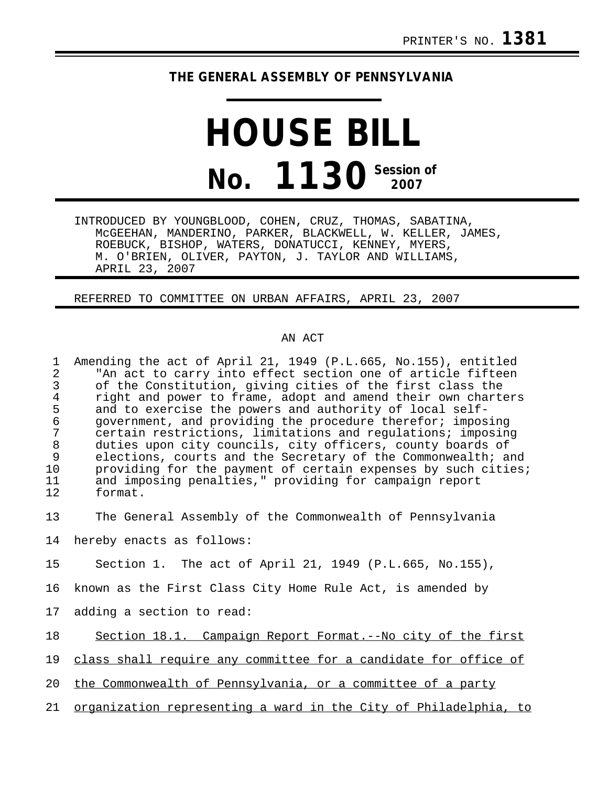## **THE GENERAL ASSEMBLY OF PENNSYLVANIA**

## **HOUSE BILL No. 1130** Session of

INTRODUCED BY YOUNGBLOOD, COHEN, CRUZ, THOMAS, SABATINA, McGEEHAN, MANDERINO, PARKER, BLACKWELL, W. KELLER, JAMES, ROEBUCK, BISHOP, WATERS, DONATUCCI, KENNEY, MYERS, M. O'BRIEN, OLIVER, PAYTON, J. TAYLOR AND WILLIAMS, APRIL 23, 2007

REFERRED TO COMMITTEE ON URBAN AFFAIRS, APRIL 23, 2007

## AN ACT

1 Amending the act of April 21, 1949 (P.L.665, No.155), entitled<br>2 TAn act to carry into effect section one of article fifteen 2 The act to carry into effect section one of article fifteen<br>3 of the Constitution, giving cities of the first class the 3 of the Constitution, giving cities of the first class the 4 right and power to frame, adopt and amend their own charters<br>5 and to exercise the powers and authority of local self-5 and to exercise the powers and authority of local self-<br>6 qovernment, and providing the procedure therefor; impos 6 government, and providing the procedure therefor; imposing 7 certain restrictions, limitations and regulations; imposing 8 duties upon city councils, city officers, county boards of<br>9 elections, courts and the Secretary of the Commonwealth; and 9 elections, courts and the Secretary of the Commonwealth; and<br>10 providing for the payment of certain expenses by such cities 10 providing for the payment of certain expenses by such cities;<br>11 and imposing penalties." providing for campaign report 11 and imposing penalties," providing for campaign report<br>12 format. format.

13 The General Assembly of the Commonwealth of Pennsylvania

14 hereby enacts as follows:

15 Section 1. The act of April 21, 1949 (P.L.665, No.155),

16 known as the First Class City Home Rule Act, is amended by

17 adding a section to read:

18 Section 18.1. Campaign Report Format.--No city of the first

19 class shall require any committee for a candidate for office of

20 the Commonwealth of Pennsylvania, or a committee of a party

21 organization representing a ward in the City of Philadelphia, to